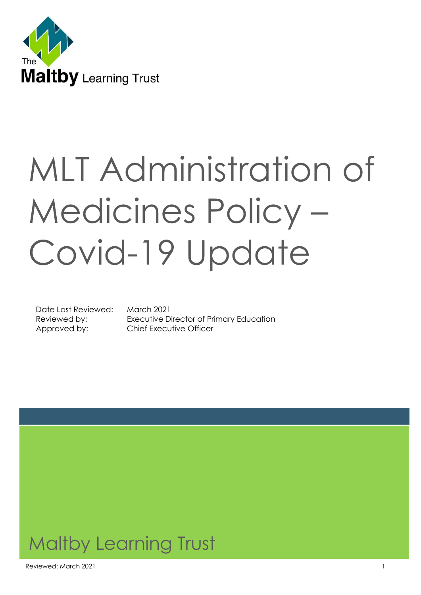

# MLT Administration of Medicines Policy – Covid-19 Update

Date Last Reviewed: March 2021

Reviewed by: Executive Director of Primary Education Approved by: Chief Executive Officer

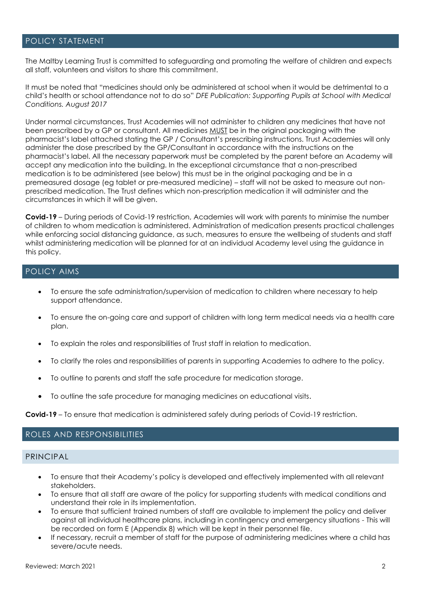#### POLICY STATEMENT

The Maltby Learning Trust is committed to safeguarding and promoting the welfare of children and expects all staff, volunteers and visitors to share this commitment.

It must be noted that "medicines should only be administered at school when it would be detrimental to a child's health or school attendance not to do so" *DFE Publication: Supporting Pupils at School with Medical Conditions. August 2017*

Under normal circumstances, Trust Academies will not administer to children any medicines that have not been prescribed by a GP or consultant. All medicines MUST be in the original packaging with the pharmacist's label attached stating the GP / Consultant's prescribing instructions. Trust Academies will only administer the dose prescribed by the GP/Consultant in accordance with the instructions on the pharmacist's label. All the necessary paperwork must be completed by the parent before an Academy will accept any medication into the building. In the exceptional circumstance that a non-prescribed medication is to be administered (see below) this must be in the original packaging and be in a premeasured dosage (eg tablet or pre-measured medicine) – staff will not be asked to measure out nonprescribed medication. The Trust defines which non-prescription medication it will administer and the circumstances in which it will be given.

**Covid-19** – During periods of Covid-19 restriction, Academies will work with parents to minimise the number of children to whom medication is administered. Administration of medication presents practical challenges while enforcing social distancing guidance, as such, measures to ensure the wellbeing of students and staff whilst administering medication will be planned for at an individual Academy level using the guidance in this policy.

#### POLICY AIMS

- To ensure the safe administration/supervision of medication to children where necessary to help support attendance.
- To ensure the on-going care and support of children with long term medical needs via a health care plan.
- To explain the roles and responsibilities of Trust staff in relation to medication.
- To clarify the roles and responsibilities of parents in supporting Academies to adhere to the policy.
- To outline to parents and staff the safe procedure for medication storage.
- To outline the safe procedure for managing medicines on educational visits.

**Covid-19** – To ensure that medication is administered safely during periods of Covid-19 restriction.

#### ROLES AND RESPONSIBILITIES

#### PRINCIPAL

- To ensure that their Academy's policy is developed and effectively implemented with all relevant stakeholders.
- To ensure that all staff are aware of the policy for supporting students with medical conditions and understand their role in its implementation.
- To ensure that sufficient trained numbers of staff are available to implement the policy and deliver against all individual healthcare plans, including in contingency and emergency situations - This will be recorded on form E (Appendix 8) which will be kept in their personnel file.
- If necessary, recruit a member of staff for the purpose of administering medicines where a child has severe/acute needs.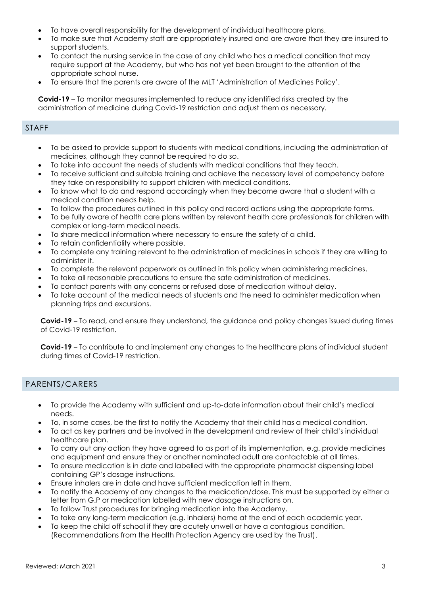- To have overall responsibility for the development of individual healthcare plans.
- To make sure that Academy staff are appropriately insured and are aware that they are insured to support students.
- To contact the nursing service in the case of any child who has a medical condition that may require support at the Academy, but who has not yet been brought to the attention of the appropriate school nurse.
- To ensure that the parents are aware of the MLT 'Administration of Medicines Policy'.

**Covid-19** – To monitor measures implemented to reduce any identified risks created by the administration of medicine during Covid-19 restriction and adjust them as necessary.

#### STAFF

- To be asked to provide support to students with medical conditions, including the administration of medicines, although they cannot be required to do so.
- To take into account the needs of students with medical conditions that they teach.
- To receive sufficient and suitable training and achieve the necessary level of competency before they take on responsibility to support children with medical conditions.
- To know what to do and respond accordingly when they become aware that a student with a medical condition needs help.
- To follow the procedures outlined in this policy and record actions using the appropriate forms.
- To be fully aware of health care plans written by relevant health care professionals for children with complex or long-term medical needs.
- To share medical information where necessary to ensure the safety of a child.
- To retain confidentiality where possible.
- To complete any training relevant to the administration of medicines in schools if they are willing to administer it.
- To complete the relevant paperwork as outlined in this policy when administering medicines.
- To take all reasonable precautions to ensure the safe administration of medicines.
- To contact parents with any concerns or refused dose of medication without delay.
- To take account of the medical needs of students and the need to administer medication when planning trips and excursions.

**Covid-19** – To read, and ensure they understand, the guidance and policy changes issued during times of Covid-19 restriction.

**Covid-19** – To contribute to and implement any changes to the healthcare plans of individual student during times of Covid-19 restriction.

#### PARENTS/CARERS

- To provide the Academy with sufficient and up-to-date information about their child's medical needs.
- To, in some cases, be the first to notify the Academy that their child has a medical condition.
- To act as key partners and be involved in the development and review of their child's individual healthcare plan.
- To carry out any action they have agreed to as part of its implementation, e.g. provide medicines and equipment and ensure they or another nominated adult are contactable at all times.
- To ensure medication is in date and labelled with the appropriate pharmacist dispensing label containing GP's dosage instructions.
- Ensure inhalers are in date and have sufficient medication left in them.
- To notify the Academy of any changes to the medication/dose. This must be supported by either a letter from G.P or medication labelled with new dosage instructions on.
- To follow Trust procedures for bringing medication into the Academy.
- To take any long-term medication (e.g. inhalers) home at the end of each academic year.
- To keep the child off school if they are acutely unwell or have a contagious condition. (Recommendations from the Health Protection Agency are used by the Trust).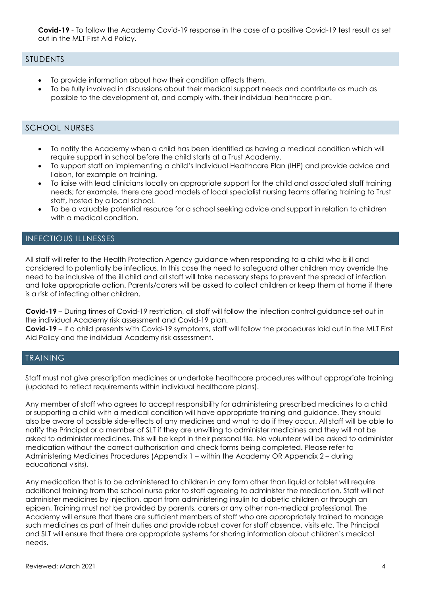**Covid-19** - To follow the Academy Covid-19 response in the case of a positive Covid-19 test result as set out in the MLT First Aid Policy.

#### STUDENTS

- To provide information about how their condition affects them.
- To be fully involved in discussions about their medical support needs and contribute as much as possible to the development of, and comply with, their individual healthcare plan.

## SCHOOL NURSES

- To notify the Academy when a child has been identified as having a medical condition which will require support in school before the child starts at a Trust Academy.
- To support staff on implementing a child's Individual Healthcare Plan (IHP) and provide advice and liaison, for example on training.
- To liaise with lead clinicians locally on appropriate support for the child and associated staff training needs; for example, there are good models of local specialist nursing teams offering training to Trust staff, hosted by a local school.
- To be a valuable potential resource for a school seeking advice and support in relation to children with a medical condition.

#### INFECTIOUS ILLNESSES

All staff will refer to the Health Protection Agency guidance when responding to a child who is ill and considered to potentially be infectious. In this case the need to safeguard other children may override the need to be inclusive of the ill child and all staff will take necessary steps to prevent the spread of infection and take appropriate action. Parents/carers will be asked to collect children or keep them at home if there is a risk of infecting other children.

**Covid-19** – During times of Covid-19 restriction, all staff will follow the infection control guidance set out in the individual Academy risk assessment and Covid-19 plan.

**Covid-19** – If a child presents with Covid-19 symptoms, staff will follow the procedures laid out in the MLT First Aid Policy and the individual Academy risk assessment.

#### TRAINING

Staff must not give prescription medicines or undertake healthcare procedures without appropriate training (updated to reflect requirements within individual healthcare plans).

Any member of staff who agrees to accept responsibility for administering prescribed medicines to a child or supporting a child with a medical condition will have appropriate training and guidance. They should also be aware of possible side-effects of any medicines and what to do if they occur. All staff will be able to notify the Principal or a member of SLT if they are unwilling to administer medicines and they will not be asked to administer medicines. This will be kept in their personal file. No volunteer will be asked to administer medication without the correct authorisation and check forms being completed. Please refer to Administering Medicines Procedures (Appendix 1 – within the Academy OR Appendix 2 – during educational visits).

Any medication that is to be administered to children in any form other than liquid or tablet will require additional training from the school nurse prior to staff agreeing to administer the medication. Staff will not administer medicines by injection, apart from administering insulin to diabetic children or through an epipen. Training must not be provided by parents, carers or any other non-medical professional. The Academy will ensure that there are sufficient members of staff who are appropriately trained to manage such medicines as part of their duties and provide robust cover for staff absence, visits etc. The Principal and SLT will ensure that there are appropriate systems for sharing information about children's medical needs.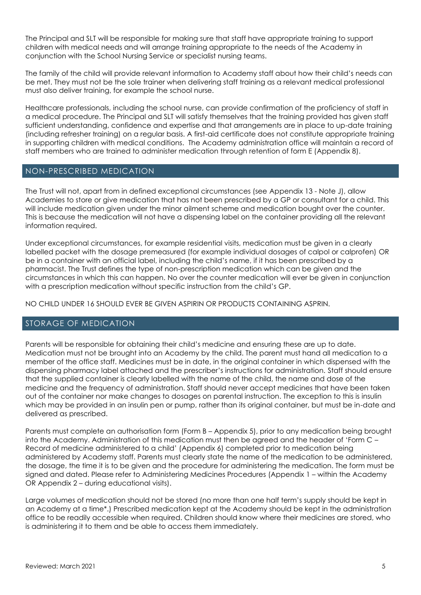The Principal and SLT will be responsible for making sure that staff have appropriate training to support children with medical needs and will arrange training appropriate to the needs of the Academy in conjunction with the School Nursing Service or specialist nursing teams.

The family of the child will provide relevant information to Academy staff about how their child's needs can be met. They must not be the sole trainer when delivering staff training as a relevant medical professional must also deliver training, for example the school nurse.

Healthcare professionals, including the school nurse, can provide confirmation of the proficiency of staff in a medical procedure. The Principal and SLT will satisfy themselves that the training provided has given staff sufficient understanding, confidence and expertise and that arrangements are in place to up-date training (including refresher training) on a regular basis. A first-aid certificate does not constitute appropriate training in supporting children with medical conditions. The Academy administration office will maintain a record of staff members who are trained to administer medication through retention of form E (Appendix 8).

#### NON-PRESCRIBED MEDICATION

The Trust will not, apart from in defined exceptional circumstances (see Appendix 13 - Note J), allow Academies to store or give medication that has not been prescribed by a GP or consultant for a child. This will include medication given under the minor ailment scheme and medication bought over the counter. This is because the medication will not have a dispensing label on the container providing all the relevant information required.

Under exceptional circumstances, for example residential visits, medication must be given in a clearly labelled packet with the dosage premeasured (for example individual dosages of calpol or calprofen) OR be in a container with an official label, including the child's name, if it has been prescribed by a pharmacist. The Trust defines the type of non-prescription medication which can be given and the circumstances in which this can happen. No over the counter medication will ever be given in conjunction with a prescription medication without specific instruction from the child's GP.

NO CHILD UNDER 16 SHOULD EVER BE GIVEN ASPIRIN OR PRODUCTS CONTAINING ASPRIN.

#### STORAGE OF MEDICATION

Parents will be responsible for obtaining their child's medicine and ensuring these are up to date. Medication must not be brought into an Academy by the child. The parent must hand all medication to a member of the office staff. Medicines must be in date, in the original container in which dispensed with the dispensing pharmacy label attached and the prescriber's instructions for administration. Staff should ensure that the supplied container is clearly labelled with the name of the child, the name and dose of the medicine and the frequency of administration. Staff should never accept medicines that have been taken out of the container nor make changes to dosages on parental instruction. The exception to this is insulin which may be provided in an insulin pen or pump, rather than its original container, but must be in-date and delivered as prescribed.

Parents must complete an authorisation form (Form B – Appendix 5), prior to any medication being brought into the Academy. Administration of this medication must then be agreed and the header of 'Form C – Record of medicine administered to a child' (Appendix 6) completed prior to medication being administered by Academy staff. Parents must clearly state the name of the medication to be administered, the dosage, the time it is to be given and the procedure for administering the medication. The form must be signed and dated. Please refer to Administering Medicines Procedures (Appendix 1 – within the Academy OR Appendix 2 – during educational visits).

Large volumes of medication should not be stored (no more than one half term's supply should be kept in an Academy at a time\*.) Prescribed medication kept at the Academy should be kept in the administration office to be readily accessible when required. Children should know where their medicines are stored, who is administering it to them and be able to access them immediately.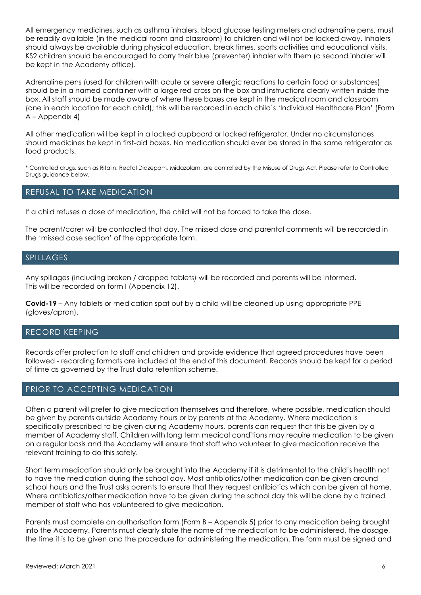All emergency medicines, such as asthma inhalers, blood glucose testing meters and adrenaline pens, must be readily available (in the medical room and classroom) to children and will not be locked away. Inhalers should always be available during physical education, break times, sports activities and educational visits. KS2 children should be encouraged to carry their blue (preventer) inhaler with them (a second inhaler will be kept in the Academy office).

Adrenaline pens (used for children with acute or severe allergic reactions to certain food or substances) should be in a named container with a large red cross on the box and instructions clearly written inside the box. All staff should be made aware of where these boxes are kept in the medical room and classroom (one in each location for each child); this will be recorded in each child's 'Individual Healthcare Plan' (Form A – Appendix 4)

All other medication will be kept in a locked cupboard or locked refrigerator. Under no circumstances should medicines be kept in first-aid boxes. No medication should ever be stored in the same refrigerator as food products.

\* Controlled drugs, such as Ritalin, Rectal Diazepam, Midazolam, are controlled by the Misuse of Drugs Act. Please refer to Controlled Drugs guidance below.

#### REFUSAL TO TAKE MEDICATION

If a child refuses a dose of medication, the child will not be forced to take the dose.

The parent/carer will be contacted that day. The missed dose and parental comments will be recorded in the 'missed dose section' of the appropriate form.

#### SPILLAGES

Any spillages (including broken / dropped tablets) will be recorded and parents will be informed. This will be recorded on form I (Appendix 12).

**Covid-19** – Any tablets or medication spat out by a child will be cleaned up using appropriate PPE (gloves/apron).

#### RECORD KEEPING

Records offer protection to staff and children and provide evidence that agreed procedures have been followed - recording formats are included at the end of this document. Records should be kept for a period of time as governed by the Trust data retention scheme.

#### PRIOR TO ACCEPTING MEDICATION

Often a parent will prefer to give medication themselves and therefore, where possible, medication should be given by parents outside Academy hours or by parents at the Academy. Where medication is specifically prescribed to be given during Academy hours, parents can request that this be given by a member of Academy staff. Children with long term medical conditions may require medication to be given on a regular basis and the Academy will ensure that staff who volunteer to give medication receive the relevant training to do this safely.

Short term medication should only be brought into the Academy if it is detrimental to the child's health not to have the medication during the school day. Most antibiotics/other medication can be given around school hours and the Trust asks parents to ensure that they request antibiotics which can be given at home. Where antibiotics/other medication have to be given during the school day this will be done by a trained member of staff who has volunteered to give medication.

Parents must complete an authorisation form (Form B – Appendix 5) prior to any medication being brought into the Academy. Parents must clearly state the name of the medication to be administered, the dosage, the time it is to be given and the procedure for administering the medication. The form must be signed and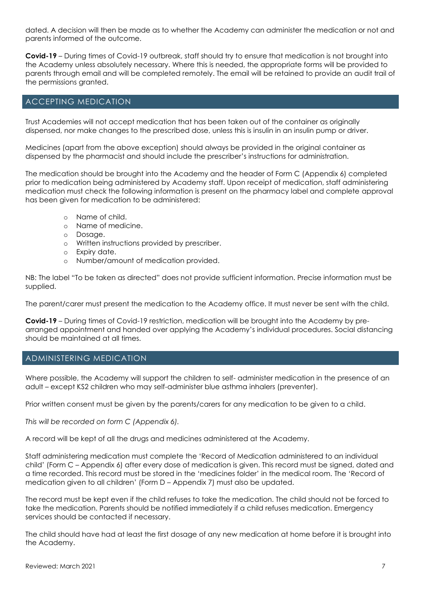dated. A decision will then be made as to whether the Academy can administer the medication or not and parents informed of the outcome.

**Covid-19** – During times of Covid-19 outbreak, staff should try to ensure that medication is not brought into the Academy unless absolutely necessary. Where this is needed, the appropriate forms will be provided to parents through email and will be completed remotely. The email will be retained to provide an audit trail of the permissions granted.

#### ACCEPTING MEDICATION

Trust Academies will not accept medication that has been taken out of the container as originally dispensed, nor make changes to the prescribed dose, unless this is insulin in an insulin pump or driver.

Medicines (apart from the above exception) should always be provided in the original container as dispensed by the pharmacist and should include the prescriber's instructions for administration.

The medication should be brought into the Academy and the header of Form C (Appendix 6) completed prior to medication being administered by Academy staff. Upon receipt of medication, staff administering medication must check the following information is present on the pharmacy label and complete approval has been given for medication to be administered:

- o Name of child.
- o Name of medicine.
- o Dosage.
- o Written instructions provided by prescriber.
- o Expiry date.
- o Number/amount of medication provided.

NB: The label "To be taken as directed" does not provide sufficient information. Precise information must be supplied.

The parent/carer must present the medication to the Academy office. It must never be sent with the child.

**Covid-19** – During times of Covid-19 restriction, medication will be brought into the Academy by prearranged appointment and handed over applying the Academy's individual procedures. Social distancing should be maintained at all times.

#### ADMINISTERING MEDICATION

Where possible, the Academy will support the children to self- administer medication in the presence of an adult – except KS2 children who may self-administer blue asthma inhalers (preventer).

Prior written consent must be given by the parents/carers for any medication to be given to a child.

*This will be recorded on form C (Appendix 6).*

A record will be kept of all the drugs and medicines administered at the Academy.

Staff administering medication must complete the 'Record of Medication administered to an individual child' (Form C – Appendix 6) after every dose of medication is given. This record must be signed, dated and a time recorded. This record must be stored in the 'medicines folder' in the medical room. The 'Record of medication given to all children' (Form D – Appendix 7) must also be updated.

The record must be kept even if the child refuses to take the medication. The child should not be forced to take the medication. Parents should be notified immediately if a child refuses medication. Emergency services should be contacted if necessary.

The child should have had at least the first dosage of any new medication at home before it is brought into the Academy.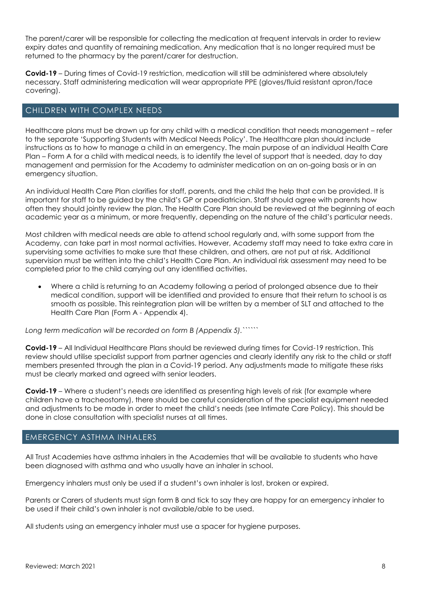The parent/carer will be responsible for collecting the medication at frequent intervals in order to review expiry dates and quantity of remaining medication. Any medication that is no longer required must be returned to the pharmacy by the parent/carer for destruction.

**Covid-19** – During times of Covid-19 restriction, medication will still be administered where absolutely necessary. Staff administering medication will wear appropriate PPE (gloves/fluid resistant apron/face covering).

#### CHILDREN WITH COMPLEX NEEDS

Healthcare plans must be drawn up for any child with a medical condition that needs management – refer to the separate 'Supporting Students with Medical Needs Policy'. The Healthcare plan should include instructions as to how to manage a child in an emergency. The main purpose of an individual Health Care Plan – Form A for a child with medical needs, is to identify the level of support that is needed, day to day management and permission for the Academy to administer medication on an on-going basis or in an emergency situation.

An individual Health Care Plan clarifies for staff, parents, and the child the help that can be provided. It is important for staff to be guided by the child's GP or paediatrician. Staff should agree with parents how often they should jointly review the plan. The Health Care Plan should be reviewed at the beginning of each academic year as a minimum, or more frequently, depending on the nature of the child's particular needs.

Most children with medical needs are able to attend school regularly and, with some support from the Academy, can take part in most normal activities. However, Academy staff may need to take extra care in supervising some activities to make sure that these children, and others, are not put at risk. Additional supervision must be written into the child's Health Care Plan. An individual risk assessment may need to be completed prior to the child carrying out any identified activities.

• Where a child is returning to an Academy following a period of prolonged absence due to their medical condition, support will be identified and provided to ensure that their return to school is as smooth as possible. This reintegration plan will be written by a member of SLT and attached to the Health Care Plan (Form A - Appendix 4).

*Long term medication will be recorded on form B (Appendix 5).``````*

**Covid-19** – All Individual Healthcare Plans should be reviewed during times for Covid-19 restriction. This review should utilise specialist support from partner agencies and clearly identify any risk to the child or staff members presented through the plan in a Covid-19 period. Any adjustments made to mitigate these risks must be clearly marked and agreed with senior leaders.

**Covid-19** – Where a student's needs are identified as presenting high levels of risk (for example where children have a tracheostomy), there should be careful consideration of the specialist equipment needed and adjustments to be made in order to meet the child's needs (see Intimate Care Policy). This should be done in close consultation with specialist nurses at all times.

#### EMERGENCY ASTHMA INHALERS

All Trust Academies have asthma inhalers in the Academies that will be available to students who have been diagnosed with asthma and who usually have an inhaler in school.

Emergency inhalers must only be used if a student's own inhaler is lost, broken or expired.

Parents or Carers of students must sign form B and tick to say they are happy for an emergency inhaler to be used if their child's own inhaler is not available/able to be used.

All students using an emergency inhaler must use a spacer for hygiene purposes.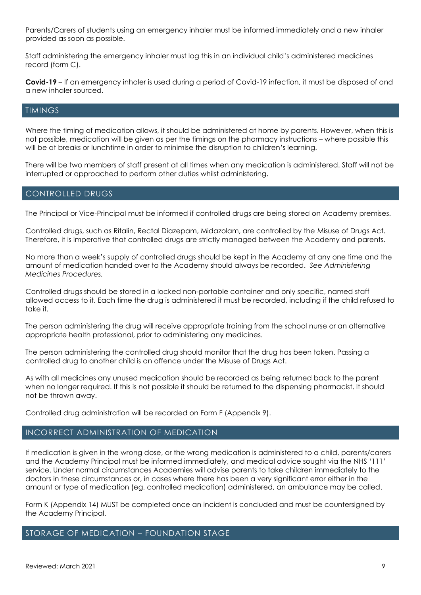Parents/Carers of students using an emergency inhaler must be informed immediately and a new inhaler provided as soon as possible.

Staff administering the emergency inhaler must log this in an individual child's administered medicines record (form C).

**Covid-19** – If an emergency inhaler is used during a period of Covid-19 infection, it must be disposed of and a new inhaler sourced.

#### TIMINGS

Where the timing of medication allows, it should be administered at home by parents. However, when this is not possible, medication will be given as per the timings on the pharmacy instructions – where possible this will be at breaks or lunchtime in order to minimise the disruption to children's learning.

There will be two members of staff present at all times when any medication is administered. Staff will not be interrupted or approached to perform other duties whilst administering.

#### CONTROLLED DRUGS

The Principal or Vice-Principal must be informed if controlled drugs are being stored on Academy premises.

Controlled drugs, such as Ritalin, Rectal Diazepam, Midazolam, are controlled by the Misuse of Drugs Act. Therefore, it is imperative that controlled drugs are strictly managed between the Academy and parents.

No more than a week's supply of controlled drugs should be kept in the Academy at any one time and the amount of medication handed over to the Academy should always be recorded. *See Administering Medicines Procedures.*

Controlled drugs should be stored in a locked non-portable container and only specific, named staff allowed access to it. Each time the drug is administered it must be recorded, including if the child refused to take it.

The person administering the drug will receive appropriate training from the school nurse or an alternative appropriate health professional, prior to administering any medicines.

The person administering the controlled drug should monitor that the drug has been taken. Passing a controlled drug to another child is an offence under the Misuse of Drugs Act.

As with all medicines any unused medication should be recorded as being returned back to the parent when no longer required. If this is not possible it should be returned to the dispensing pharmacist. It should not be thrown away.

Controlled drug administration will be recorded on Form F (Appendix 9).

#### INCORRECT ADMINISTRATION OF MEDICATION

If medication is given in the wrong dose, or the wrong medication is administered to a child, parents/carers and the Academy Principal must be informed immediately, and medical advice sought via the NHS '111' service. Under normal circumstances Academies will advise parents to take children immediately to the doctors in these circumstances or, in cases where there has been a very significant error either in the amount or type of medication (eg. controlled medication) administered, an ambulance may be called.

Form K (Appendix 14) MUST be completed once an incident is concluded and must be countersigned by the Academy Principal.

#### STORAGE OF MEDICATION – FOUNDATION STAGE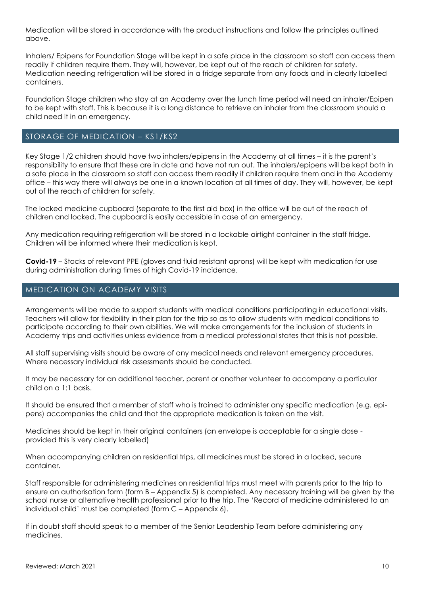Medication will be stored in accordance with the product instructions and follow the principles outlined above.

Inhalers/ Epipens for Foundation Stage will be kept in a safe place in the classroom so staff can access them readily if children require them. They will, however, be kept out of the reach of children for safety. Medication needing refrigeration will be stored in a fridge separate from any foods and in clearly labelled containers.

Foundation Stage children who stay at an Academy over the lunch time period will need an inhaler/Epipen to be kept with staff. This is because it is a long distance to retrieve an inhaler from the classroom should a child need it in an emergency.

### STORAGE OF MEDICATION – KS1/KS2

Key Stage 1/2 children should have two inhalers/epipens in the Academy at all times – it is the parent's responsibility to ensure that these are in date and have not run out. The inhalers/epipens will be kept both in a safe place in the classroom so staff can access them readily if children require them and in the Academy office – this way there will always be one in a known location at all times of day. They will, however, be kept out of the reach of children for safety.

The locked medicine cupboard (separate to the first aid box) in the office will be out of the reach of children and locked. The cupboard is easily accessible in case of an emergency.

Any medication requiring refrigeration will be stored in a lockable airtight container in the staff fridge. Children will be informed where their medication is kept.

**Covid-19** – Stocks of relevant PPE (gloves and fluid resistant aprons) will be kept with medication for use during administration during times of high Covid-19 incidence.

#### MEDICATION ON ACADEMY VISITS

Arrangements will be made to support students with medical conditions participating in educational visits. Teachers will allow for flexibility in their plan for the trip so as to allow students with medical conditions to participate according to their own abilities. We will make arrangements for the inclusion of students in Academy trips and activities unless evidence from a medical professional states that this is not possible.

All staff supervising visits should be aware of any medical needs and relevant emergency procedures. Where necessary individual risk assessments should be conducted.

It may be necessary for an additional teacher, parent or another volunteer to accompany a particular child on a 1:1 basis.

It should be ensured that a member of staff who is trained to administer any specific medication (e.g. epipens) accompanies the child and that the appropriate medication is taken on the visit.

Medicines should be kept in their original containers (an envelope is acceptable for a single dose provided this is very clearly labelled)

When accompanying children on residential trips, all medicines must be stored in a locked, secure container.

Staff responsible for administering medicines on residential trips must meet with parents prior to the trip to ensure an authorisation form (form B – Appendix 5) is completed. Any necessary training will be given by the school nurse or alternative health professional prior to the trip. The 'Record of medicine administered to an individual child' must be completed (form C – Appendix 6).

If in doubt staff should speak to a member of the Senior Leadership Team before administering any medicines.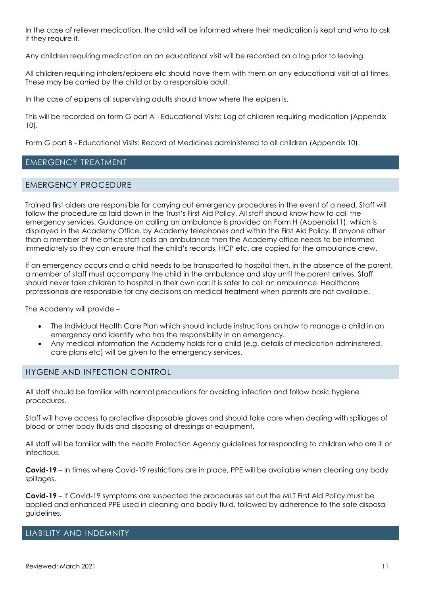In the case of reliever medication, the child will be informed where their medication is kept and who to ask if they require it.

Any children requiring medication on an educational visit will be recorded on a log prior to leaving.

All children requiring inhalers/epipens etc should have them with them on any educational visit at all times. These may be carried by the child or by a responsible adult.

In the case of epipens all supervising adults should know where the epipen is.

This will be recorded on form G part A - Educational Visits: Log of children requiring medication (Appendix 10).

Form G part B - Educational Visits: Record of Medicines administered to all children (Appendix 10).

#### EMERGENCY TREATMENT

#### EMERGENCY PROCEDURE

Trained first aiders are responsible for carrying out emergency procedures in the event of a need. Staff will follow the procedure as laid down in the Trust's First Aid Policy. All staff should know how to call the emergency services. Guidance on calling an ambulance is provided on Form H (Appendix11), which is displayed in the Academy Office, by Academy telephones and within the First Aid Policy. If anyone other than a member of the office staff calls an ambulance then the Academy office needs to be informed immediately so they can ensure that the child's records, HCP etc. are copied for the ambulance crew.

If an emergency occurs and a child needs to be transported to hospital then, in the absence of the parent, a member of staff must accompany the child in the ambulance and stay until the parent arrives. Staff should never take children to hospital in their own car; it is safer to call an ambulance. Healthcare professionals are responsible for any decisions on medical treatment when parents are not available.

The Academy will provide –

- The Individual Health Care Plan which should include instructions on how to manage a child in an emergency and identify who has the responsibility in an emergency.
- Any medical information the Academy holds for a child (e.g. details of medication administered, care plans etc) will be given to the emergency services.

#### HYGENE AND INFECTION CONTROL

All staff should be familiar with normal precautions for avoiding infection and follow basic hygiene procedures.

Staff will have access to protective disposable gloves and should take care when dealing with spillages of blood or other body fluids and disposing of dressings or equipment.

All staff will be familiar with the Health Protection Agency guidelines for responding to children who are ill or infectious.

**Covid-19** – In times where Covid-19 restrictions are in place, PPE will be available when cleaning any body spillages.

**Covid-19** – If Covid-19 symptoms are suspected the procedures set out the MLT First Aid Policy must be applied and enhanced PPE used in cleaning and bodily fluid, followed by adherence to the safe disposal guidelines.

#### LIABILITY AND INDEMNITY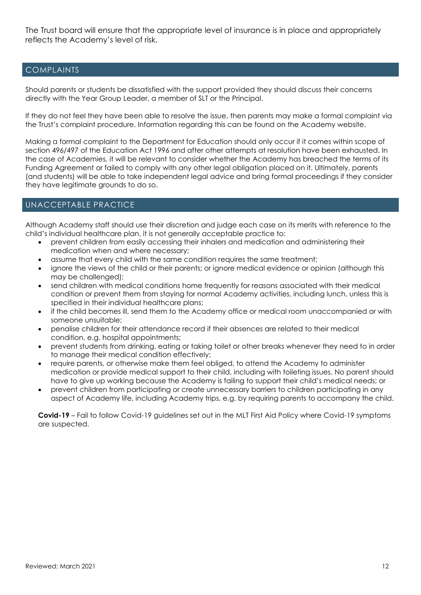The Trust board will ensure that the appropriate level of insurance is in place and appropriately reflects the Academy's level of risk.

## COMPLAINTS

Should parents or students be dissatisfied with the support provided they should discuss their concerns directly with the Year Group Leader, a member of SLT or the Principal.

If they do not feel they have been able to resolve the issue, then parents may make a formal complaint via the Trust's complaint procedure. Information regarding this can be found on the Academy website.

Making a formal complaint to the Department for Education should only occur if it comes within scope of section 496/497 of the Education Act 1996 and after other attempts at resolution have been exhausted. In the case of Academies, it will be relevant to consider whether the Academy has breached the terms of its Funding Agreement or failed to comply with any other legal obligation placed on it. Ultimately, parents (and students) will be able to take independent legal advice and bring formal proceedings if they consider they have legitimate grounds to do so.

## UNACCEPTABLE PRACTICE

Although Academy staff should use their discretion and judge each case on its merits with reference to the child's individual healthcare plan, it is not generally acceptable practice to:

- prevent children from easily accessing their inhalers and medication and administering their medication when and where necessary;
- assume that every child with the same condition requires the same treatment;
- ignore the views of the child or their parents; or ignore medical evidence or opinion (although this may be challenged);
- send children with medical conditions home frequently for reasons associated with their medical condition or prevent them from staying for normal Academy activities, including lunch, unless this is specified in their individual healthcare plans;
- if the child becomes ill, send them to the Academy office or medical room unaccompanied or with someone unsuitable;
- penalise children for their attendance record if their absences are related to their medical condition, e.g. hospital appointments;
- prevent students from drinking, eating or taking toilet or other breaks whenever they need to in order to manage their medical condition effectively;
- require parents, or otherwise make them feel obliged, to attend the Academy to administer medication or provide medical support to their child, including with toileting issues. No parent should have to give up working because the Academy is failing to support their child's medical needs; or
- prevent children from participating or create unnecessary barriers to children participating in any aspect of Academy life, including Academy trips, e.g. by requiring parents to accompany the child.

**Covid-19** – Fail to follow Covid-19 guidelines set out in the MLT First Aid Policy where Covid-19 symptoms are suspected.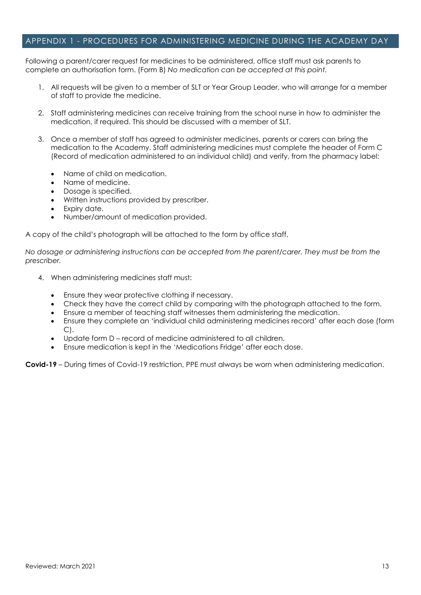#### APPENDIX 1 - PROCEDURES FOR ADMINISTERING MEDICINE DURING THE ACADEMY DAY

Following a parent/carer request for medicines to be administered, office staff must ask parents to complete an authorisation form. (Form B) *No medication can be accepted at this point.*

- 1. All requests will be given to a member of SLT or Year Group Leader, who will arrange for a member of staff to provide the medicine.
- 2. Staff administering medicines can receive training from the school nurse in how to administer the medication, if required. This should be discussed with a member of SLT.
- 3. Once a member of staff has agreed to administer medicines, parents or carers can bring the medication to the Academy. Staff administering medicines must complete the header of Form C (Record of medication administered to an individual child) and verify, from the pharmacy label:
	- Name of child on medication.
	- Name of medicine.
	- Dosage is specified.
	- Written instructions provided by prescriber.
	- Expiry date.
	- Number/amount of medication provided.

A copy of the child's photograph will be attached to the form by office staff.

*No dosage or administering instructions can be accepted from the parent/carer. They must be from the prescriber.*

- 4. When administering medicines staff must:
	- Ensure they wear protective clothing if necessary.
	- Check they have the correct child by comparing with the photograph attached to the form.
	- Ensure a member of teaching staff witnesses them administering the medication.
	- Ensure they complete an 'individual child administering medicines record' after each dose (form C).
	- Update form D record of medicine administered to all children.
	- Ensure medication is kept in the 'Medications Fridge' after each dose.

**Covid-19** – During times of Covid-19 restriction, PPE must always be worn when administering medication.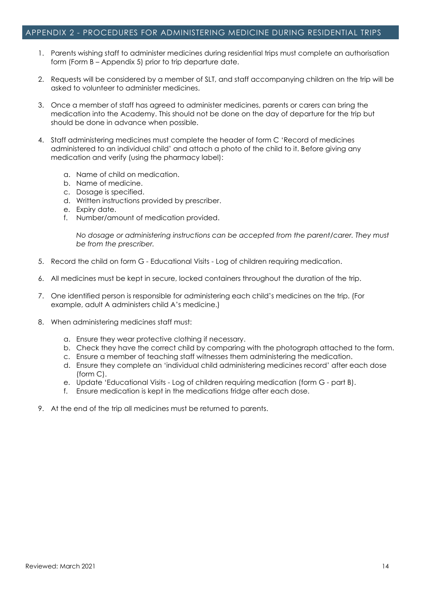#### APPENDIX 2 - PROCEDURES FOR ADMINISTERING MEDICINE DURING RESIDENTIAL TRIPS

- 1. Parents wishing staff to administer medicines during residential trips must complete an authorisation form (Form B – Appendix 5) prior to trip departure date.
- 2. Requests will be considered by a member of SLT, and staff accompanying children on the trip will be asked to volunteer to administer medicines.
- 3. Once a member of staff has agreed to administer medicines, parents or carers can bring the medication into the Academy. This should not be done on the day of departure for the trip but should be done in advance when possible.
- 4. Staff administering medicines must complete the header of form C 'Record of medicines administered to an individual child' and attach a photo of the child to it. Before giving any medication and verify (using the pharmacy label):
	- a. Name of child on medication.
	- b. Name of medicine.
	- c. Dosage is specified.
	- d. Written instructions provided by prescriber.
	- e. Expiry date.
	- f. Number/amount of medication provided.

*No dosage or administering instructions can be accepted from the parent/carer. They must be from the prescriber.*

- 5. Record the child on form G Educational Visits Log of children requiring medication.
- 6. All medicines must be kept in secure, locked containers throughout the duration of the trip.
- 7. One identified person is responsible for administering each child's medicines on the trip. (For example, adult A administers child A's medicine.)
- 8. When administering medicines staff must:
	- a. Ensure they wear protective clothing if necessary.
	- b. Check they have the correct child by comparing with the photograph attached to the form.
	- c. Ensure a member of teaching staff witnesses them administering the medication.
	- d. Ensure they complete an 'individual child administering medicines record' after each dose (form C).
	- e. Update 'Educational Visits Log of children requiring medication (form G part B).
	- f. Ensure medication is kept in the medications fridge after each dose.
- 9. At the end of the trip all medicines must be returned to parents.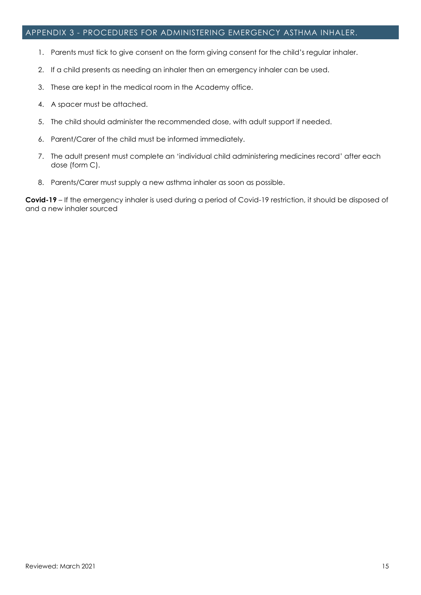#### APPENDIX 3 - PROCEDURES FOR ADMINISTERING EMERGENCY ASTHMA INHALER.

- 1. Parents must tick to give consent on the form giving consent for the child's regular inhaler.
- 2. If a child presents as needing an inhaler then an emergency inhaler can be used.
- 3. These are kept in the medical room in the Academy office.
- 4. A spacer must be attached.
- 5. The child should administer the recommended dose, with adult support if needed.
- 6. Parent/Carer of the child must be informed immediately.
- 7. The adult present must complete an 'individual child administering medicines record' after each dose (form C).
- 8. Parents/Carer must supply a new asthma inhaler as soon as possible.

**Covid-19** – If the emergency inhaler is used during a period of Covid-19 restriction, it should be disposed of and a new inhaler sourced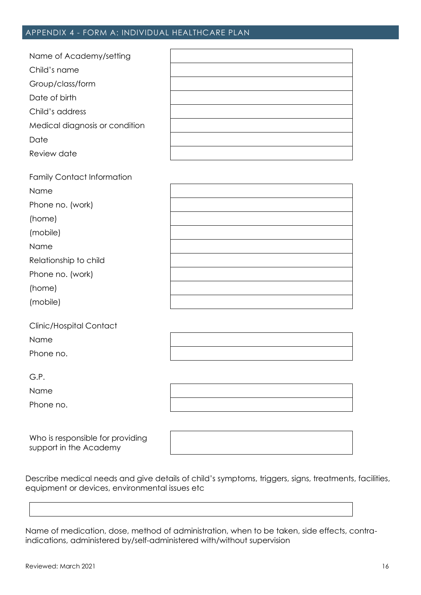## APPENDIX 4 - FORM A: INDIVIDUAL HEALTHCARE PLAN

| Name of Academy/setting        |  |
|--------------------------------|--|
| Child's name                   |  |
| Group/class/form               |  |
| Date of birth                  |  |
| Child's address                |  |
| Medical diagnosis or condition |  |
| Date                           |  |
| Review date                    |  |

| <b>Family Contact Information</b> |  |
|-----------------------------------|--|
| Name                              |  |
| Phone no. (work)                  |  |
| (home)                            |  |
| (mobile)                          |  |
| Name                              |  |
| Relationship to child             |  |
| Phone no. (work)                  |  |
| (home)                            |  |
| (mobile)                          |  |
|                                   |  |

| Clinic/Hospital Contact |  |
|-------------------------|--|
| Name                    |  |

Phone no.

G.P.

Name

Phone no.

Who is responsible for providing support in the Academy

Describe medical needs and give details of child's symptoms, triggers, signs, treatments, facilities, equipment or devices, environmental issues etc

Name of medication, dose, method of administration, when to be taken, side effects, contraindications, administered by/self-administered with/without supervision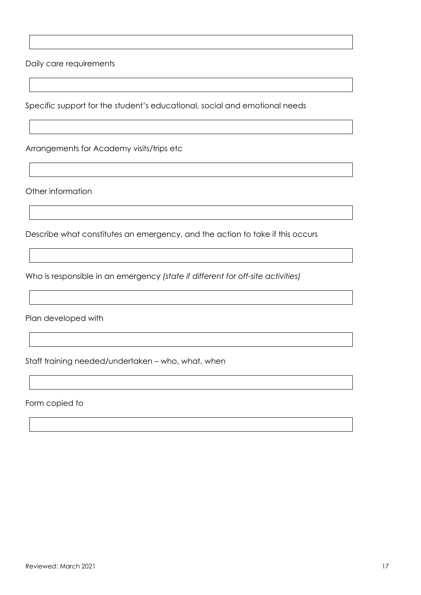Daily care requirements

Specific support for the student's educational, social and emotional needs

Arrangements for Academy visits/trips etc

Other information

Describe what constitutes an emergency, and the action to take if this occurs

Who is responsible in an emergency *(state if different for off-site activities)*

Plan developed with

Staff training needed/undertaken – who, what, when

Form copied to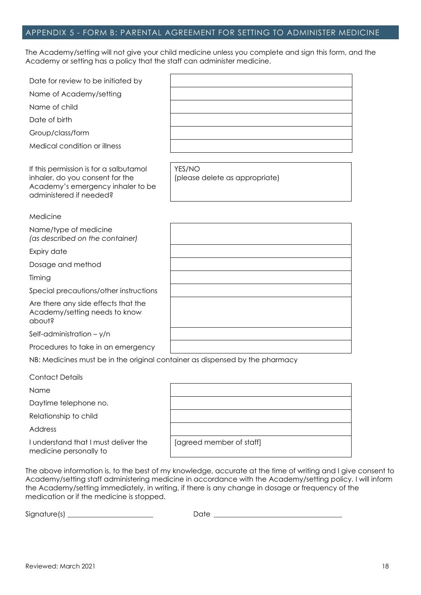#### APPENDIX 5 - FORM B: PARENTAL AGREEMENT FOR SETTING TO ADMINISTER MEDICINE

The Academy/setting will not give your child medicine unless you complete and sign this form, and the Academy or setting has a policy that the staff can administer medicine.

| Date for review to be initiated by                                                                                                        |                                          |
|-------------------------------------------------------------------------------------------------------------------------------------------|------------------------------------------|
| Name of Academy/setting                                                                                                                   |                                          |
| Name of child                                                                                                                             |                                          |
| Date of birth                                                                                                                             |                                          |
| Group/class/form                                                                                                                          |                                          |
| Medical condition or illness                                                                                                              |                                          |
|                                                                                                                                           |                                          |
| If this permission is for a salbutamol<br>inhaler, do you consent for the<br>Academy's emergency inhaler to be<br>administered if needed? | YES/NO<br>(please delete as appropriate) |
| Medicine                                                                                                                                  |                                          |
| Name/type of medicine<br>(as described on the container)                                                                                  |                                          |
| Expiry date                                                                                                                               |                                          |
| Dosage and method                                                                                                                         |                                          |
| Timing                                                                                                                                    |                                          |
| Special precautions/other instructions                                                                                                    |                                          |
| Are there any side effects that the<br>Academy/setting needs to know<br>apout?                                                            |                                          |
| Self-administration $-$ y/n                                                                                                               |                                          |
| Procedures to take in an emergency                                                                                                        |                                          |
| NB: Medicines must be in the original container as dispensed by the pharmacy                                                              |                                          |
| <b>Contact Details</b>                                                                                                                    |                                          |
| Name                                                                                                                                      |                                          |
| Daytime telephone no.                                                                                                                     |                                          |
| Relationship to child                                                                                                                     |                                          |
| Address                                                                                                                                   |                                          |
| I understand that I must deliver the                                                                                                      | [agreed member of staff]                 |

The above information is, to the best of my knowledge, accurate at the time of writing and I give consent to Academy/setting staff administering medicine in accordance with the Academy/setting policy. I will inform the Academy/setting immediately, in writing, if there is any change in dosage or frequency of the medication or if the medicine is stopped.

Signature(s) \_\_\_\_\_\_\_\_\_\_\_\_\_\_\_\_\_\_\_\_\_\_\_\_ Date \_\_\_\_\_\_\_\_\_\_\_\_\_\_\_\_\_\_\_\_\_\_\_\_\_\_\_\_\_\_\_\_\_\_\_\_

medicine personally to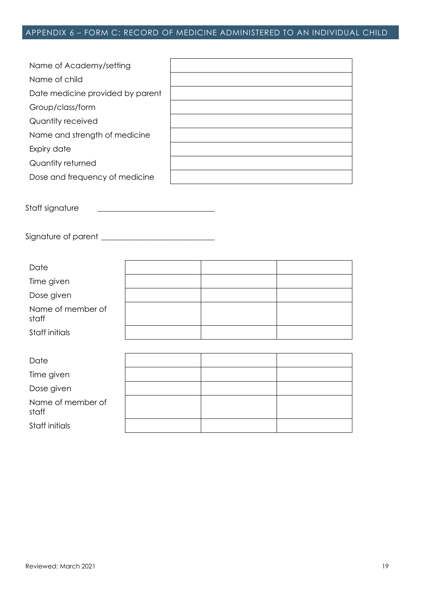# APPENDIX 6 – FORM C: RECORD OF MEDICINE ADMINISTERED TO AN INDIVIDUAL CHILD

| Name of Academy/setting          |  |
|----------------------------------|--|
| Name of child                    |  |
| Date medicine provided by parent |  |
| Group/class/form                 |  |
| Quantity received                |  |
| Name and strength of medicine    |  |
| Expiry date                      |  |
| Quantity returned                |  |
| Dose and frequency of medicine   |  |

Staff signature \_\_\_\_\_\_\_\_\_\_\_\_\_\_\_\_\_\_\_\_\_\_\_\_\_\_\_\_\_\_

Signature of parent \_\_\_\_\_\_\_\_\_\_\_\_\_\_\_\_\_\_\_\_\_\_\_\_\_\_\_\_\_

| Date                       |  |  |
|----------------------------|--|--|
| Time given                 |  |  |
| Dose given                 |  |  |
| Name of member of<br>staff |  |  |
| Staff initials             |  |  |
|                            |  |  |
| Date                       |  |  |
| Time given                 |  |  |

| time given                 |  |  |
|----------------------------|--|--|
| Dose given                 |  |  |
| Name of member of<br>staff |  |  |
| Staff initials             |  |  |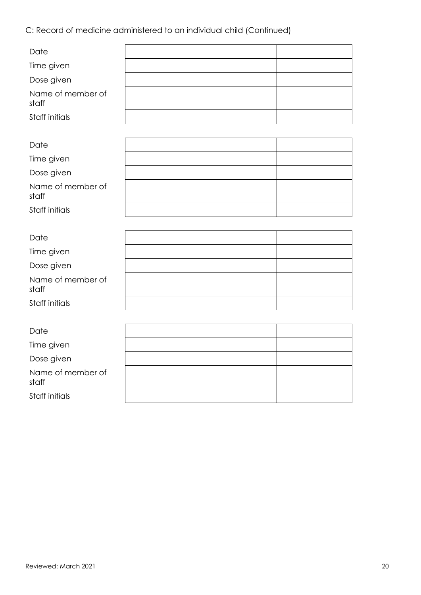C: Record of medicine administered to an individual child (Continued)

| Date                       |  |  |
|----------------------------|--|--|
| Time given                 |  |  |
| Dose given                 |  |  |
| Name of member of<br>staff |  |  |
| Staff initials             |  |  |
|                            |  |  |
| Date                       |  |  |
| Time given                 |  |  |
| Dose given                 |  |  |
| Name of member of<br>staff |  |  |
| Staff initials             |  |  |
|                            |  |  |
| Date                       |  |  |
| Time given                 |  |  |
| Dose given                 |  |  |
| Name of member of<br>staff |  |  |
| Staff initials             |  |  |
|                            |  |  |
| Date                       |  |  |
| Time given                 |  |  |
| Dose given                 |  |  |
| Name of member of<br>staff |  |  |
| Staff initials             |  |  |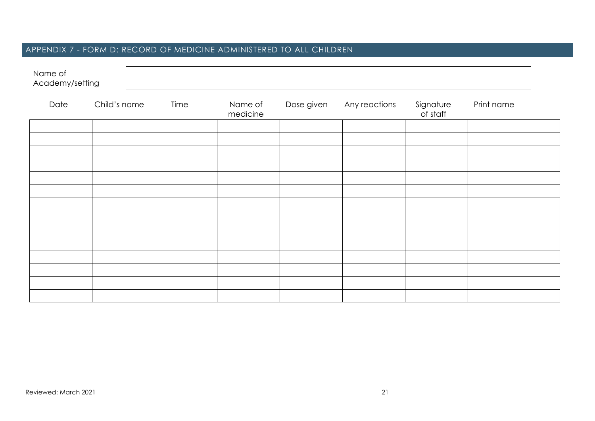# APPENDIX 7 - FORM D: RECORD OF MEDICINE ADMINISTERED TO ALL CHILDREN

| Name of<br>Academy/setting |              |      |                     |            |               |                       |            |
|----------------------------|--------------|------|---------------------|------------|---------------|-----------------------|------------|
| Date                       | Child's name | Time | Name of<br>medicine | Dose given | Any reactions | Signature<br>of staff | Print name |
|                            |              |      |                     |            |               |                       |            |
|                            |              |      |                     |            |               |                       |            |
|                            |              |      |                     |            |               |                       |            |
|                            |              |      |                     |            |               |                       |            |
|                            |              |      |                     |            |               |                       |            |
|                            |              |      |                     |            |               |                       |            |
|                            |              |      |                     |            |               |                       |            |
|                            |              |      |                     |            |               |                       |            |
|                            |              |      |                     |            |               |                       |            |
|                            |              |      |                     |            |               |                       |            |
|                            |              |      |                     |            |               |                       |            |
|                            |              |      |                     |            |               |                       |            |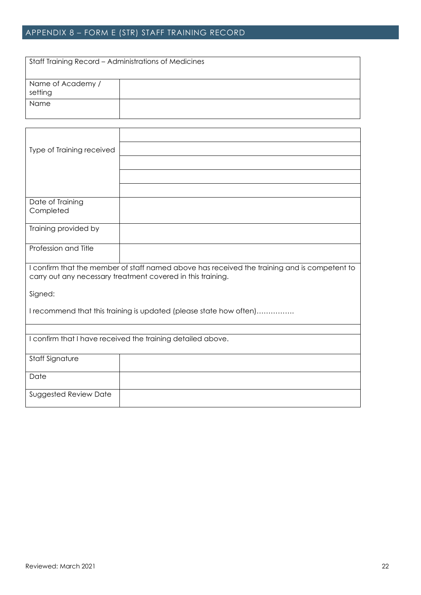# APPENDIX 8 – FORM E (STR) STAFF TRAINING RECORD

| Staff Training Record - Administrations of Medicines |  |
|------------------------------------------------------|--|
| Name of Academy /<br>setting                         |  |
| Name                                                 |  |

| Type of Training received                                                                                                                                   |                                                                    |  |  |  |
|-------------------------------------------------------------------------------------------------------------------------------------------------------------|--------------------------------------------------------------------|--|--|--|
|                                                                                                                                                             |                                                                    |  |  |  |
|                                                                                                                                                             |                                                                    |  |  |  |
|                                                                                                                                                             |                                                                    |  |  |  |
| Date of Training                                                                                                                                            |                                                                    |  |  |  |
| Completed                                                                                                                                                   |                                                                    |  |  |  |
| Training provided by                                                                                                                                        |                                                                    |  |  |  |
|                                                                                                                                                             |                                                                    |  |  |  |
| Profession and Title                                                                                                                                        |                                                                    |  |  |  |
| I confirm that the member of staff named above has received the training and is competent to<br>carry out any necessary treatment covered in this training. |                                                                    |  |  |  |
| Signed:                                                                                                                                                     |                                                                    |  |  |  |
|                                                                                                                                                             | I recommend that this training is updated (please state how often) |  |  |  |
|                                                                                                                                                             |                                                                    |  |  |  |
|                                                                                                                                                             | I confirm that I have received the training detailed above.        |  |  |  |
| <b>Staff Signature</b>                                                                                                                                      |                                                                    |  |  |  |
| Date                                                                                                                                                        |                                                                    |  |  |  |
| <b>Suggested Review Date</b>                                                                                                                                |                                                                    |  |  |  |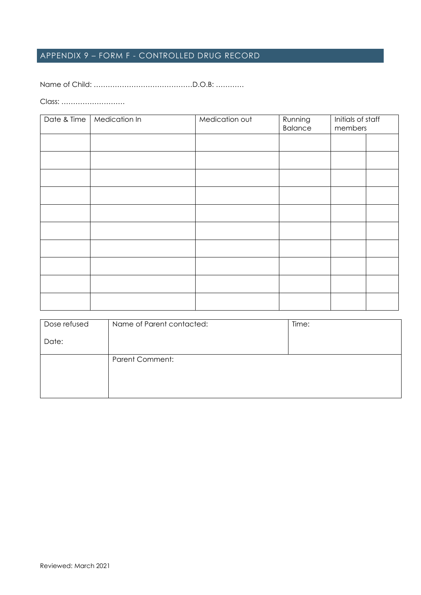# APPENDIX 9 – FORM F - CONTROLLED DRUG RECORD

Name of Child: ……………………………………D.O.B: …………

Class: ………………………

| Date & Time | Medication In | Medication out | Running<br><b>Balance</b> | Initials of staff<br>members |  |
|-------------|---------------|----------------|---------------------------|------------------------------|--|
|             |               |                |                           |                              |  |
|             |               |                |                           |                              |  |
|             |               |                |                           |                              |  |
|             |               |                |                           |                              |  |
|             |               |                |                           |                              |  |
|             |               |                |                           |                              |  |
|             |               |                |                           |                              |  |
|             |               |                |                           |                              |  |
|             |               |                |                           |                              |  |
|             |               |                |                           |                              |  |

| Dose refused | Name of Parent contacted: | Time: |
|--------------|---------------------------|-------|
| Date:        |                           |       |
|              | <b>Parent Comment:</b>    |       |
|              |                           |       |
|              |                           |       |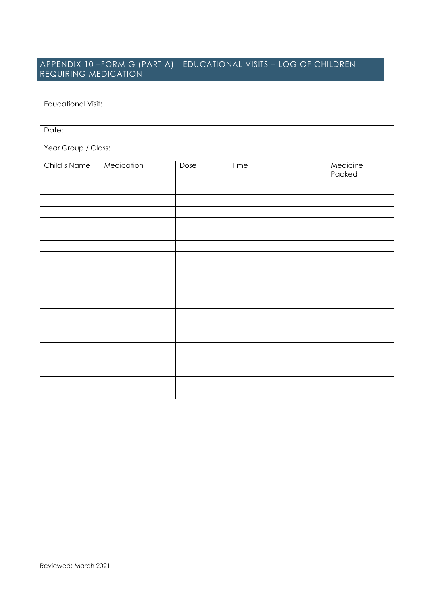## APPENDIX 10 –FORM G (PART A) - EDUCATIONAL VISITS – LOG OF CHILDREN REQUIRING MEDICATION

| <b>Educational Visit:</b> |            |      |      |                    |  |  |
|---------------------------|------------|------|------|--------------------|--|--|
| Date:                     |            |      |      |                    |  |  |
| Year Group / Class:       |            |      |      |                    |  |  |
| Child's Name              | Medication | Dose | Time | Medicine<br>Packed |  |  |
|                           |            |      |      |                    |  |  |
|                           |            |      |      |                    |  |  |
|                           |            |      |      |                    |  |  |
|                           |            |      |      |                    |  |  |
|                           |            |      |      |                    |  |  |
|                           |            |      |      |                    |  |  |
|                           |            |      |      |                    |  |  |
|                           |            |      |      |                    |  |  |
|                           |            |      |      |                    |  |  |
|                           |            |      |      |                    |  |  |
|                           |            |      |      |                    |  |  |
|                           |            |      |      |                    |  |  |
|                           |            |      |      |                    |  |  |
|                           |            |      |      |                    |  |  |
|                           |            |      |      |                    |  |  |
|                           |            |      |      |                    |  |  |
|                           |            |      |      |                    |  |  |
|                           |            |      |      |                    |  |  |
|                           |            |      |      |                    |  |  |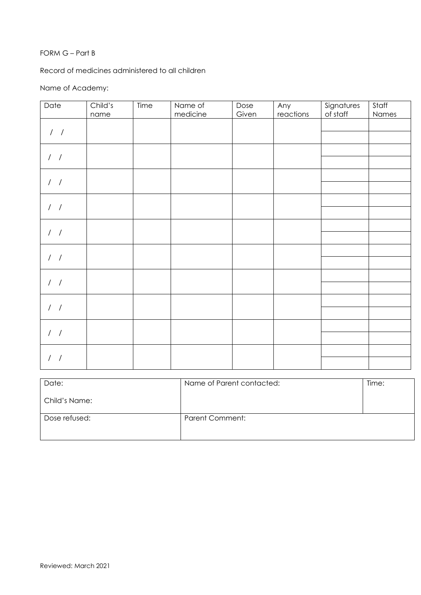#### FORM G – Part B

Record of medicines administered to all children

## Name of Academy:

| Child's | Time | Name of | Dose     | Any   | Signatures | Staff    |
|---------|------|---------|----------|-------|------------|----------|
|         |      |         |          |       |            | Names    |
|         |      |         |          |       |            |          |
|         |      |         |          |       |            |          |
|         |      |         |          |       |            |          |
|         |      |         |          |       |            |          |
|         |      |         |          |       |            |          |
|         |      |         |          |       |            |          |
|         |      |         |          |       |            |          |
|         |      |         |          |       |            |          |
|         |      |         |          |       |            |          |
|         |      |         |          |       |            |          |
|         |      |         |          |       |            |          |
|         |      |         |          |       |            |          |
|         |      |         |          |       |            |          |
|         |      |         |          |       |            |          |
|         |      |         |          |       |            |          |
|         |      |         |          |       |            |          |
|         |      |         |          |       |            |          |
|         |      |         |          |       |            |          |
|         |      |         |          |       |            |          |
|         |      |         |          |       |            |          |
|         |      |         |          |       |            |          |
|         |      |         |          |       |            |          |
|         |      |         |          |       |            |          |
|         |      |         |          |       |            |          |
|         | name |         | medicine | Given | reactions  | of staff |

| Date:         | Name of Parent contacted: | Time: |
|---------------|---------------------------|-------|
| Child's Name: |                           |       |
| Dose refused: | <b>Parent Comment:</b>    |       |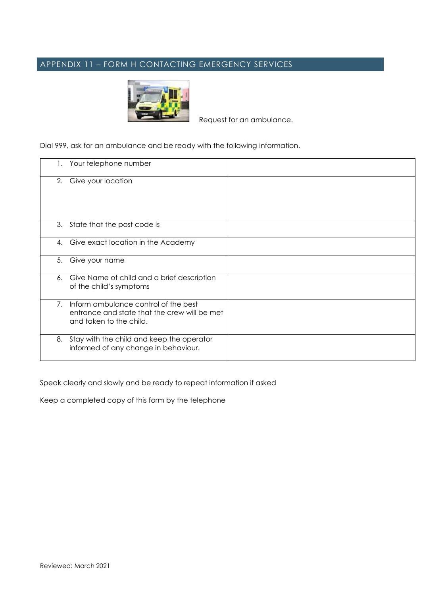# APPENDIX 11 – FORM H CONTACTING EMERGENCY SERVICES



Request for an ambulance.

Dial 999, ask for an ambulance and be ready with the following information.

| Ι. | Your telephone number                                                                                           |  |
|----|-----------------------------------------------------------------------------------------------------------------|--|
|    | 2. Give your location                                                                                           |  |
|    | 3. State that the post code is                                                                                  |  |
|    | 4. Give exact location in the Academy                                                                           |  |
| 5. | Give your name                                                                                                  |  |
| 6. | Give Name of child and a brief description<br>of the child's symptoms                                           |  |
| 7. | Inform ambulance control of the best<br>entrance and state that the crew will be met<br>and taken to the child. |  |
| 8. | Stay with the child and keep the operator<br>informed of any change in behaviour.                               |  |

Speak clearly and slowly and be ready to repeat information if asked

Keep a completed copy of this form by the telephone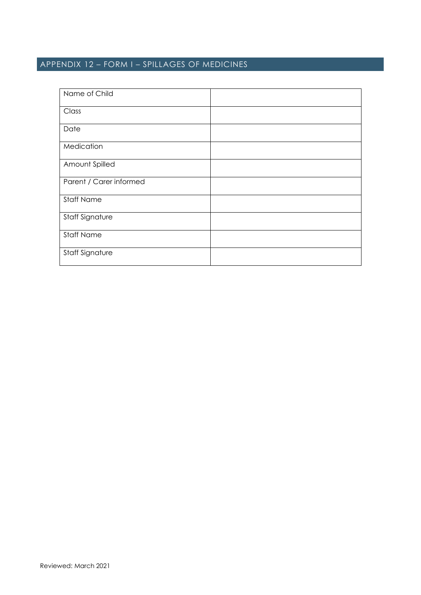# APPENDIX 12 – FORM I – SPILLAGES OF MEDICINES

| Name of Child           |  |
|-------------------------|--|
| Class                   |  |
| Date                    |  |
| Medication              |  |
| Amount Spilled          |  |
| Parent / Carer informed |  |
| <b>Staff Name</b>       |  |
| Staff Signature         |  |
| <b>Staff Name</b>       |  |
| Staff Signature         |  |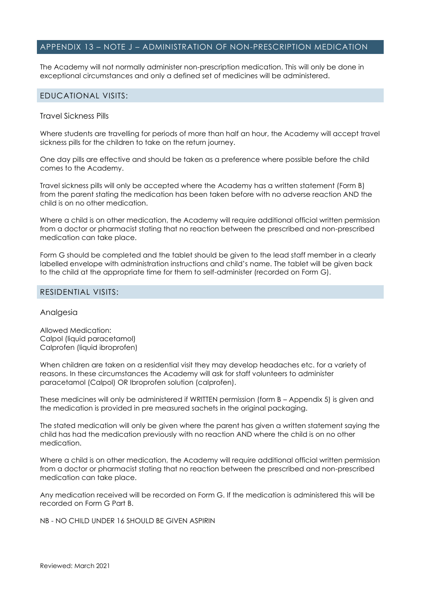#### APPENDIX 13 – NOTE J – ADMINISTRATION OF NON-PRESCRIPTION MEDICATION

The Academy will not normally administer non-prescription medication. This will only be done in exceptional circumstances and only a defined set of medicines will be administered.

#### EDUCATIONAL VISITS:

#### Travel Sickness Pills

Where students are travelling for periods of more than half an hour, the Academy will accept travel sickness pills for the children to take on the return journey.

One day pills are effective and should be taken as a preference where possible before the child comes to the Academy.

Travel sickness pills will only be accepted where the Academy has a written statement (Form B) from the parent stating the medication has been taken before with no adverse reaction AND the child is on no other medication.

Where a child is on other medication, the Academy will require additional official written permission from a doctor or pharmacist stating that no reaction between the prescribed and non-prescribed medication can take place.

Form G should be completed and the tablet should be given to the lead staff member in a clearly labelled envelope with administration instructions and child's name. The tablet will be given back to the child at the appropriate time for them to self-administer (recorded on Form G).

#### RESIDENTIAL VISITS:

#### Analgesia

Allowed Medication: Calpol (liquid paracetamol) Calprofen (liquid ibroprofen)

When children are taken on a residential visit they may develop headaches etc. for a variety of reasons. In these circumstances the Academy will ask for staff volunteers to administer paracetamol (Calpol) OR Ibroprofen solution (calprofen).

These medicines will only be administered if WRITTEN permission (form B – Appendix 5) is given and the medication is provided in pre measured sachets in the original packaging.

The stated medication will only be given where the parent has given a written statement saying the child has had the medication previously with no reaction AND where the child is on no other medication.

Where a child is on other medication, the Academy will require additional official written permission from a doctor or pharmacist stating that no reaction between the prescribed and non-prescribed medication can take place.

Any medication received will be recorded on Form G. If the medication is administered this will be recorded on Form G Part B.

NB - NO CHILD UNDER 16 SHOULD BE GIVEN ASPIRIN